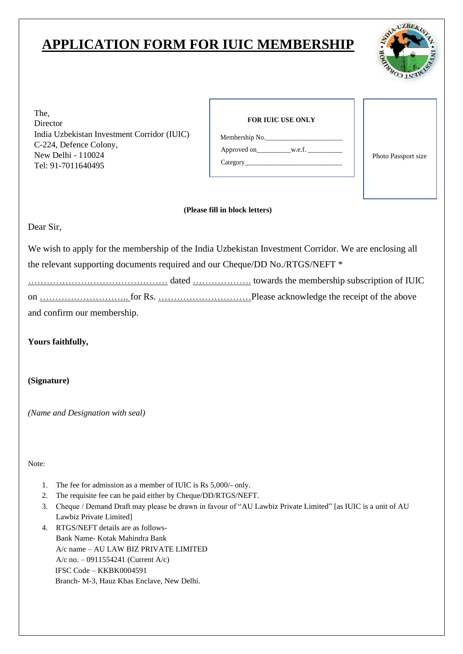## **APPLICATION FORM FOR IUIC MEMBERSHIP**



The, **FOR IUIC USE ONLY** India Uzbekistan Investment Corridor (IUIC) C-224, Defence Colony, New Delhi - 110024 Photo Passport size Tel: 91-7011640495

| <b>FOR IUIC USE ONLY</b>                                                                                                                                                                                                       |
|--------------------------------------------------------------------------------------------------------------------------------------------------------------------------------------------------------------------------------|
| Membership No.                                                                                                                                                                                                                 |
| Approved on w.e.f.                                                                                                                                                                                                             |
| Category and the category of the contract of the category of the contract of the contract of the contract of the contract of the contract of the contract of the contract of the contract of the contract of the contract of t |
|                                                                                                                                                                                                                                |

## **(Please fill in block letters)**

Dear Sir,

We wish to apply for the membership of the India Uzbekistan Investment Corridor. We are enclosing all the relevant supporting documents required and our Cheque/DD No./RTGS/NEFT \*

……………………………………… dated ………………. towards the membership subscription of IUIC

on ……………………….. for Rs. …………………………Please acknowledge the receipt of the above

and confirm our membership.

**Yours faithfully,**

**(Signature)**

*(Name and Designation with seal)*

Note:

- 1. The fee for admission as a member of IUIC is Rs 5,000/- only.
- 2. The requisite fee can be paid either by Cheque/DD/RTGS/NEFT.
- 3. Cheque / Demand Draft may please be drawn in favour of "AU Lawbiz Private Limited" [as IUIC is a unit of AU Lawbiz Private Limited]
- 4. RTGS/NEFT details are as follows-Bank Name- Kotak Mahindra Bank A/c name – AU LAW BIZ PRIVATE LIMITED A/c no. – 0911554241 (Current A/c) IFSC Code – KKBK0004591 Branch- M-3, Hauz Khas Enclave, New Delhi.